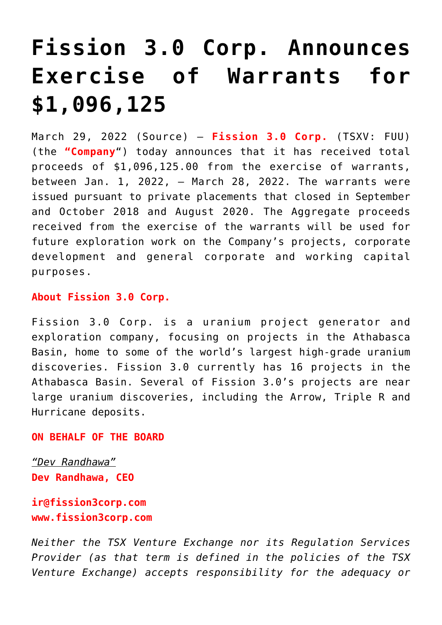## **[Fission 3.0 Corp. Announces](https://investorintel.com/markets/uranium-energy/uranium-energy-news/fission-3-0-corp-announces-exercise-of-warrants-for-1096125/) [Exercise of Warrants for](https://investorintel.com/markets/uranium-energy/uranium-energy-news/fission-3-0-corp-announces-exercise-of-warrants-for-1096125/) [\\$1,096,125](https://investorintel.com/markets/uranium-energy/uranium-energy-news/fission-3-0-corp-announces-exercise-of-warrants-for-1096125/)**

March 29, 2022 ([Source\)](https://www.newsfilecorp.com/release/118470/Fission-3.0-Corp.-Announces-Exercise-of-Warrants-for-1096125) — **Fission 3.0 Corp.** (TSXV: FUU) (the **"Company**") today announces that it has received total proceeds of \$1,096,125.00 from the exercise of warrants, between Jan. 1, 2022, – March 28, 2022. The warrants were issued pursuant to private placements that closed in September and October 2018 and August 2020. The Aggregate proceeds received from the exercise of the warrants will be used for future exploration work on the Company's projects, corporate development and general corporate and working capital purposes.

## **About Fission 3.0 Corp.**

Fission 3.0 Corp. is a uranium project generator and exploration company, focusing on projects in the Athabasca Basin, home to some of the world's largest high-grade uranium discoveries. Fission 3.0 currently has 16 projects in the Athabasca Basin. Several of Fission 3.0's projects are near large uranium discoveries, including the Arrow, Triple R and Hurricane deposits.

## **ON BEHALF OF THE BOARD**

*"Dev Randhawa"* **Dev Randhawa, CEO**

**[ir@fission3corp.com](mailto:ir@fission3corp.com) [www.fission3corp.com](https://www.newsfilecorp.com/redirect/L7nMZuNKv3)**

*Neither the TSX Venture Exchange nor its Regulation Services Provider (as that term is defined in the policies of the TSX Venture Exchange) accepts responsibility for the adequacy or*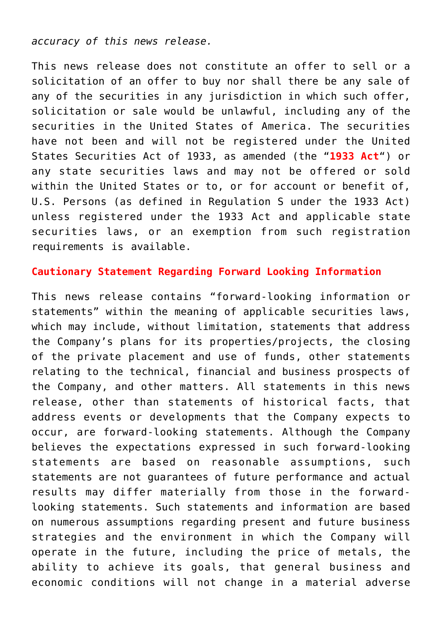*accuracy of this news release.*

This news release does not constitute an offer to sell or a solicitation of an offer to buy nor shall there be any sale of any of the securities in any jurisdiction in which such offer, solicitation or sale would be unlawful, including any of the securities in the United States of America. The securities have not been and will not be registered under the United States Securities Act of 1933, as amended (the "**1933 Act**") or any state securities laws and may not be offered or sold within the United States or to, or for account or benefit of, U.S. Persons (as defined in Regulation S under the 1933 Act) unless registered under the 1933 Act and applicable state securities laws, or an exemption from such registration requirements is available.

## **Cautionary Statement Regarding Forward Looking Information**

This news release contains "forward‐looking information or statements" within the meaning of applicable securities laws, which may include, without limitation, statements that address the Company's plans for its properties/projects, the closing of the private placement and use of funds, other statements relating to the technical, financial and business prospects of the Company, and other matters. All statements in this news release, other than statements of historical facts, that address events or developments that the Company expects to occur, are forward-looking statements. Although the Company believes the expectations expressed in such forward-looking statements are based on reasonable assumptions, such statements are not guarantees of future performance and actual results may differ materially from those in the forwardlooking statements. Such statements and information are based on numerous assumptions regarding present and future business strategies and the environment in which the Company will operate in the future, including the price of metals, the ability to achieve its goals, that general business and economic conditions will not change in a material adverse